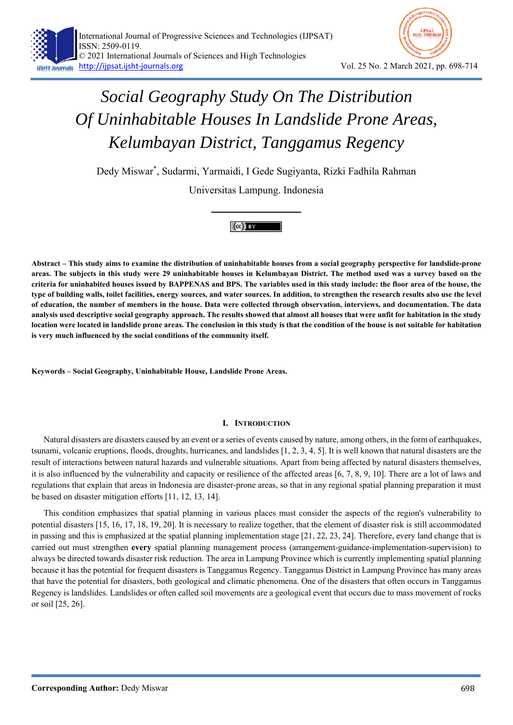

Dedy Miswar\* , Sudarmi, Yarmaidi, I Gede Sugiyanta, Rizki Fadhila Rahman

Universitas Lampung. Indonesia



**Abstract – This study aims to examine the distribution of uninhabitable houses from a social geography perspective for landslide-prone areas. The subjects in this study were 29 uninhabitable houses in Kelumbayan District. The method used was a survey based on the criteria for uninhabited houses issued by BAPPENAS and BPS. The variables used in this study include: the floor area of the house, the type of building walls, toilet facilities, energy sources, and water sources. In addition, to strengthen the research results also use the level of education, the number of members in the house. Data were collected through observation, interviews, and documentation. The data analysis used descriptive social geography approach. The results showed that almost all houses that were unfit for habitation in the study location were located in landslide prone areas. The conclusion in this study is that the condition of the house is not suitable for habitation is very much influenced by the social conditions of the community itself.** 

**Keywords – Social Geography, Uninhabitable House, Landslide Prone Areas.** 

# **I. INTRODUCTION**

Natural disasters are disasters caused by an event or a series of events caused by nature, among others, in the form of earthquakes, tsunami, volcanic eruptions, floods, droughts, hurricanes, and landslides [1, 2, 3, 4, 5]. It is well known that natural disasters are the result of interactions between natural hazards and vulnerable situations. Apart from being affected by natural disasters themselves, it is also influenced by the vulnerability and capacity or resilience of the affected areas [6, 7, 8, 9, 10]. There are a lot of laws and regulations that explain that areas in Indonesia are disaster-prone areas, so that in any regional spatial planning preparation it must be based on disaster mitigation efforts [11, 12, 13, 14].

This condition emphasizes that spatial planning in various places must consider the aspects of the region's vulnerability to potential disasters [15, 16, 17, 18, 19, 20]. It is necessary to realize together, that the element of disaster risk is still accommodated in passing and this is emphasized at the spatial planning implementation stage [21, 22, 23, 24]. Therefore, every land change that is carried out must strengthen **every** spatial planning management process (arrangement-guidance-implementation-supervision) to always be directed towards disaster risk reduction. The area in Lampung Province which is currently implementing spatial planning because it has the potential for frequent disasters is Tanggamus Regency. Tanggamus District in Lampung Province has many areas that have the potential for disasters, both geological and climatic phenomena. One of the disasters that often occurs in Tanggamus Regency is landslides. Landslides or often called soil movements are a geological event that occurs due to mass movement of rocks or soil [25, 26].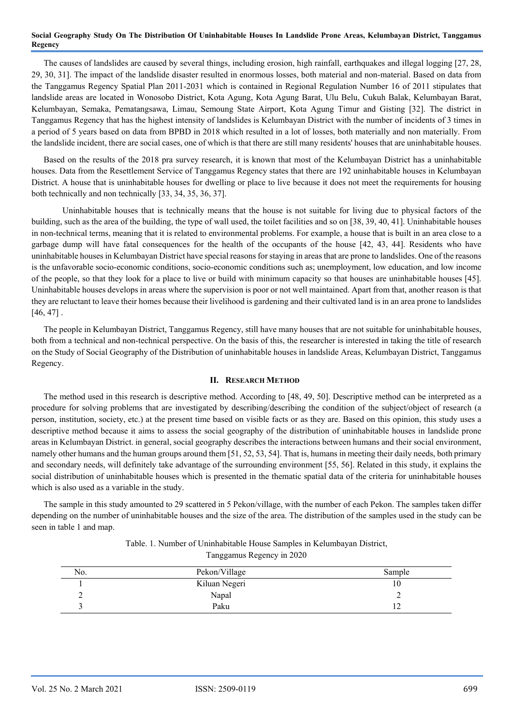The causes of landslides are caused by several things, including erosion, high rainfall, earthquakes and illegal logging [27, 28, 29, 30, 31]. The impact of the landslide disaster resulted in enormous losses, both material and non-material. Based on data from the Tanggamus Regency Spatial Plan 2011-2031 which is contained in Regional Regulation Number 16 of 2011 stipulates that landslide areas are located in Wonosobo District, Kota Agung, Kota Agung Barat, Ulu Belu, Cukuh Balak, Kelumbayan Barat, Kelumbayan, Semaka, Pematangsawa, Limau, Semoung State Airport, Kota Agung Timur and Gisting [32]. The district in Tanggamus Regency that has the highest intensity of landslides is Kelumbayan District with the number of incidents of 3 times in a period of 5 years based on data from BPBD in 2018 which resulted in a lot of losses, both materially and non materially. From the landslide incident, there are social cases, one of which is that there are still many residents' houses that are uninhabitable houses.

Based on the results of the 2018 pra survey research, it is known that most of the Kelumbayan District has a uninhabitable houses. Data from the Resettlement Service of Tanggamus Regency states that there are 192 uninhabitable houses in Kelumbayan District. A house that is uninhabitable houses for dwelling or place to live because it does not meet the requirements for housing both technically and non technically [33, 34, 35, 36, 37].

 Uninhabitable houses that is technically means that the house is not suitable for living due to physical factors of the building, such as the area of the building, the type of wall used, the toilet facilities and so on [38, 39, 40, 41]. Uninhabitable houses in non-technical terms, meaning that it is related to environmental problems. For example, a house that is built in an area close to a garbage dump will have fatal consequences for the health of the occupants of the house [42, 43, 44]. Residents who have uninhabitable houses in Kelumbayan District have special reasons for staying in areas that are prone to landslides. One of the reasons is the unfavorable socio-economic conditions, socio-economic conditions such as; unemployment, low education, and low income of the people, so that they look for a place to live or build with minimum capacity so that houses are uninhabitable houses [45]. Uninhabitable houses develops in areas where the supervision is poor or not well maintained. Apart from that, another reason is that they are reluctant to leave their homes because their livelihood is gardening and their cultivated land is in an area prone to landslides  $[46, 47]$ .

The people in Kelumbayan District, Tanggamus Regency, still have many houses that are not suitable for uninhabitable houses, both from a technical and non-technical perspective. On the basis of this, the researcher is interested in taking the title of research on the Study of Social Geography of the Distribution of uninhabitable houses in landslide Areas, Kelumbayan District, Tanggamus Regency.

## **II. RESEARCH METHOD**

The method used in this research is descriptive method. According to [48, 49, 50]. Descriptive method can be interpreted as a procedure for solving problems that are investigated by describing/describing the condition of the subject/object of research (a person, institution, society, etc.) at the present time based on visible facts or as they are. Based on this opinion, this study uses a descriptive method because it aims to assess the social geography of the distribution of uninhabitable houses in landslide prone areas in Kelumbayan District. in general, social geography describes the interactions between humans and their social environment, namely other humans and the human groups around them [51, 52, 53, 54]. That is, humans in meeting their daily needs, both primary and secondary needs, will definitely take advantage of the surrounding environment [55, 56]. Related in this study, it explains the social distribution of uninhabitable houses which is presented in the thematic spatial data of the criteria for uninhabitable houses which is also used as a variable in the study.

The sample in this study amounted to 29 scattered in 5 Pekon/village, with the number of each Pekon. The samples taken differ depending on the number of uninhabitable houses and the size of the area. The distribution of the samples used in the study can be seen in table 1 and map.

| Table. 1. Number of Uninhabitable House Samples in Kelumbayan District, |
|-------------------------------------------------------------------------|
| Tanggamus Regency in 2020                                               |

| No. | Pekon/Village | Sample |
|-----|---------------|--------|
|     | Kiluan Negeri | 10     |
|     | Napal         |        |
|     | Paku          | 14     |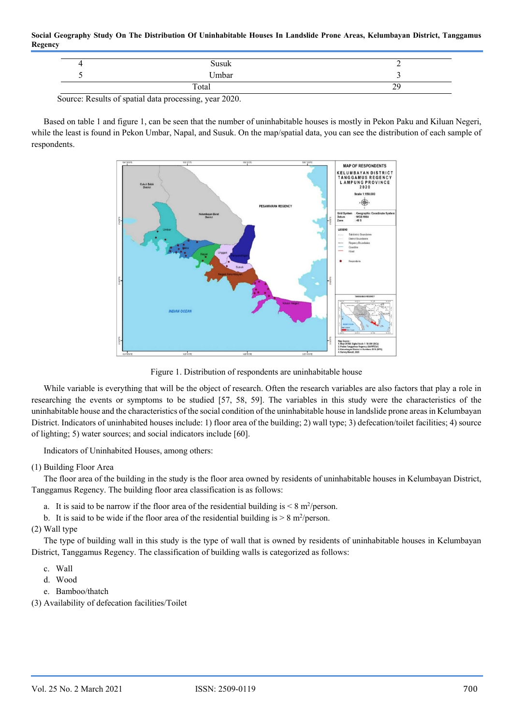| Susuk               | -                 |
|---------------------|-------------------|
| $U$ <sub>mbar</sub> |                   |
| Total               | $\gamma c$<br>ر ب |

Source: Results of spatial data processing, year 2020.

Based on table 1 and figure 1, can be seen that the number of uninhabitable houses is mostly in Pekon Paku and Kiluan Negeri, while the least is found in Pekon Umbar, Napal, and Susuk. On the map/spatial data, you can see the distribution of each sample of respondents.



Figure 1. Distribution of respondents are uninhabitable house

While variable is everything that will be the object of research. Often the research variables are also factors that play a role in researching the events or symptoms to be studied [57, 58, 59]. The variables in this study were the characteristics of the uninhabitable house and the characteristics of the social condition of the uninhabitable house in landslide prone areas in Kelumbayan District. Indicators of uninhabited houses include: 1) floor area of the building; 2) wall type; 3) defecation/toilet facilities; 4) source of lighting; 5) water sources; and social indicators include [60].

Indicators of Uninhabited Houses, among others:

# (1) Building Floor Area

The floor area of the building in the study is the floor area owned by residents of uninhabitable houses in Kelumbayan District, Tanggamus Regency. The building floor area classification is as follows:

a. It is said to be narrow if the floor area of the residential building is  $\leq 8$  m<sup>2</sup>/person.

b. It is said to be wide if the floor area of the residential building is  $> 8$  m<sup>2</sup>/person.

(2) Wall type

The type of building wall in this study is the type of wall that is owned by residents of uninhabitable houses in Kelumbayan District, Tanggamus Regency. The classification of building walls is categorized as follows:

- c. Wall
- d. Wood
- e. Bamboo/thatch

(3) Availability of defecation facilities/Toilet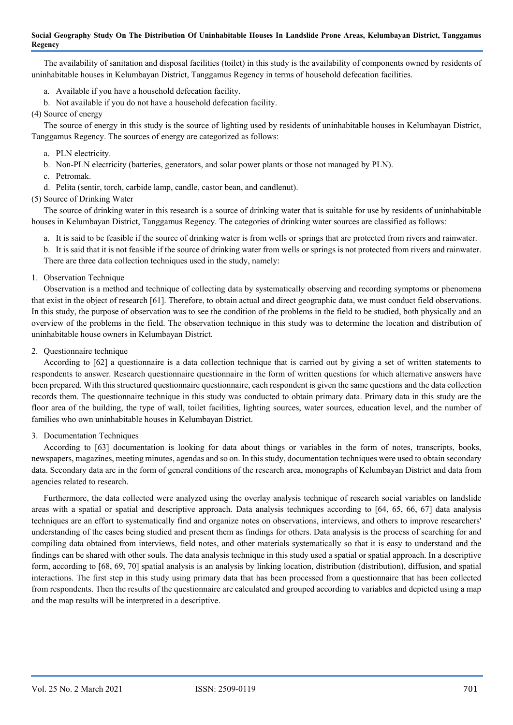The availability of sanitation and disposal facilities (toilet) in this study is the availability of components owned by residents of uninhabitable houses in Kelumbayan District, Tanggamus Regency in terms of household defecation facilities.

- a. Available if you have a household defecation facility.
- b. Not available if you do not have a household defecation facility.
- (4) Source of energy

The source of energy in this study is the source of lighting used by residents of uninhabitable houses in Kelumbayan District, Tanggamus Regency. The sources of energy are categorized as follows:

- a. PLN electricity.
- b. Non-PLN electricity (batteries, generators, and solar power plants or those not managed by PLN).
- c. Petromak.
- d. Pelita (sentir, torch, carbide lamp, candle, castor bean, and candlenut).
- (5) Source of Drinking Water

The source of drinking water in this research is a source of drinking water that is suitable for use by residents of uninhabitable houses in Kelumbayan District, Tanggamus Regency. The categories of drinking water sources are classified as follows:

- a. It is said to be feasible if the source of drinking water is from wells or springs that are protected from rivers and rainwater.
- b. It is said that it is not feasible if the source of drinking water from wells or springs is not protected from rivers and rainwater. There are three data collection techniques used in the study, namely:
- 1. Observation Technique

Observation is a method and technique of collecting data by systematically observing and recording symptoms or phenomena that exist in the object of research [61]. Therefore, to obtain actual and direct geographic data, we must conduct field observations. In this study, the purpose of observation was to see the condition of the problems in the field to be studied, both physically and an overview of the problems in the field. The observation technique in this study was to determine the location and distribution of uninhabitable house owners in Kelumbayan District.

2. Questionnaire technique

According to [62] a questionnaire is a data collection technique that is carried out by giving a set of written statements to respondents to answer. Research questionnaire questionnaire in the form of written questions for which alternative answers have been prepared. With this structured questionnaire questionnaire, each respondent is given the same questions and the data collection records them. The questionnaire technique in this study was conducted to obtain primary data. Primary data in this study are the floor area of the building, the type of wall, toilet facilities, lighting sources, water sources, education level, and the number of families who own uninhabitable houses in Kelumbayan District.

## 3. Documentation Techniques

According to [63] documentation is looking for data about things or variables in the form of notes, transcripts, books, newspapers, magazines, meeting minutes, agendas and so on. In this study, documentation techniques were used to obtain secondary data. Secondary data are in the form of general conditions of the research area, monographs of Kelumbayan District and data from agencies related to research.

Furthermore, the data collected were analyzed using the overlay analysis technique of research social variables on landslide areas with a spatial or spatial and descriptive approach. Data analysis techniques according to [64, 65, 66, 67] data analysis techniques are an effort to systematically find and organize notes on observations, interviews, and others to improve researchers' understanding of the cases being studied and present them as findings for others. Data analysis is the process of searching for and compiling data obtained from interviews, field notes, and other materials systematically so that it is easy to understand and the findings can be shared with other souls. The data analysis technique in this study used a spatial or spatial approach. In a descriptive form, according to [68, 69, 70] spatial analysis is an analysis by linking location, distribution (distribution), diffusion, and spatial interactions. The first step in this study using primary data that has been processed from a questionnaire that has been collected from respondents. Then the results of the questionnaire are calculated and grouped according to variables and depicted using a map and the map results will be interpreted in a descriptive.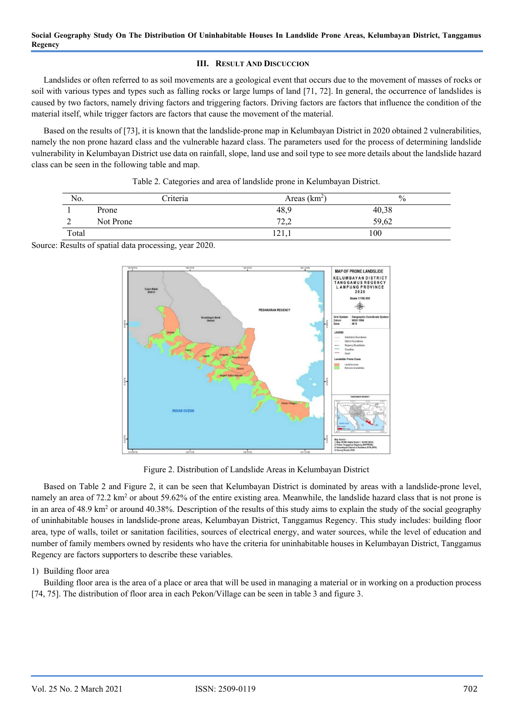# **III. RESULT AND DISCUCCION**

Landslides or often referred to as soil movements are a geological event that occurs due to the movement of masses of rocks or soil with various types and types such as falling rocks or large lumps of land [71, 72]. In general, the occurrence of landslides is caused by two factors, namely driving factors and triggering factors. Driving factors are factors that influence the condition of the material itself, while trigger factors are factors that cause the movement of the material.

Based on the results of [73], it is known that the landslide-prone map in Kelumbayan District in 2020 obtained 2 vulnerabilities, namely the non prone hazard class and the vulnerable hazard class. The parameters used for the process of determining landslide vulnerability in Kelumbayan District use data on rainfall, slope, land use and soil type to see more details about the landslide hazard class can be seen in the following table and map.

| No.            | Criteria  | Areas $(km2)$  | $\frac{0}{0}$ |
|----------------|-----------|----------------|---------------|
|                | Prone     | 48,9           | 40,38         |
| $\bigcap$<br>∠ | Not Prone | 72.2<br>تنكونك | 59,62         |
| Total          |           | 141,1          | 100           |

| Table 2. Categories and area of landslide prone in Kelumbayan District. |  |  |
|-------------------------------------------------------------------------|--|--|
|-------------------------------------------------------------------------|--|--|

Source: Results of spatial data processing, year 2020.



Figure 2. Distribution of Landslide Areas in Kelumbayan District

Based on Table 2 and Figure 2, it can be seen that Kelumbayan District is dominated by areas with a landslide-prone level, namely an area of 72.2 km<sup>2</sup> or about 59.62% of the entire existing area. Meanwhile, the landslide hazard class that is not prone is in an area of 48.9 km<sup>2</sup> or around 40.38%. Description of the results of this study aims to explain the study of the social geography of uninhabitable houses in landslide-prone areas, Kelumbayan District, Tanggamus Regency. This study includes: building floor area, type of walls, toilet or sanitation facilities, sources of electrical energy, and water sources, while the level of education and number of family members owned by residents who have the criteria for uninhabitable houses in Kelumbayan District, Tanggamus Regency are factors supporters to describe these variables.

# 1) Building floor area

Building floor area is the area of a place or area that will be used in managing a material or in working on a production process [74, 75]. The distribution of floor area in each Pekon/Village can be seen in table 3 and figure 3.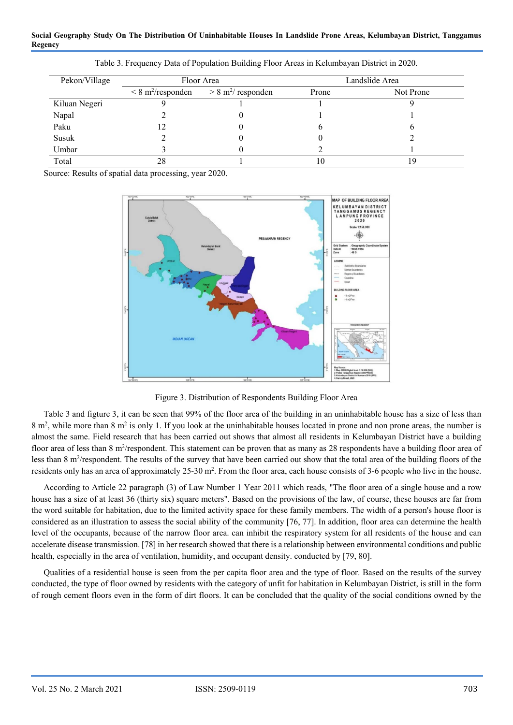| Pekon/Village |                                 | Floor Area                       |       | Landslide Area |
|---------------|---------------------------------|----------------------------------|-------|----------------|
|               | $\leq 8 \text{ m}^2$ /responden | $> 8$ m <sup>2</sup> / responden | Prone | Not Prone      |
| Kiluan Negeri |                                 |                                  |       |                |
| Napal         |                                 |                                  |       |                |
| Paku          |                                 |                                  |       |                |
| Susuk         |                                 |                                  |       |                |
| Umbar         |                                 |                                  |       |                |
| Total         | 28                              |                                  | 10    | ۱9             |

Table 3. Frequency Data of Population Building Floor Areas in Kelumbayan District in 2020.

Source: Results of spatial data processing, year 2020.



Figure 3. Distribution of Respondents Building Floor Area

Table 3 and figture 3, it can be seen that 99% of the floor area of the building in an uninhabitable house has a size of less than 8 m<sup>2</sup>, while more than 8 m<sup>2</sup> is only 1. If you look at the uninhabitable houses located in prone and non prone areas, the number is almost the same. Field research that has been carried out shows that almost all residents in Kelumbayan District have a building floor area of less than  $8 \text{ m}^2$ /respondent. This statement can be proven that as many as 28 respondents have a building floor area of less than 8 m<sup>2</sup>/respondent. The results of the survey that have been carried out show that the total area of the building floors of the residents only has an area of approximately 25-30 m<sup>2</sup>. From the floor area, each house consists of 3-6 people who live in the house.

According to Article 22 paragraph (3) of Law Number 1 Year 2011 which reads, "The floor area of a single house and a row house has a size of at least 36 (thirty six) square meters". Based on the provisions of the law, of course, these houses are far from the word suitable for habitation, due to the limited activity space for these family members. The width of a person's house floor is considered as an illustration to assess the social ability of the community [76, 77]. In addition, floor area can determine the health level of the occupants, because of the narrow floor area. can inhibit the respiratory system for all residents of the house and can accelerate disease transmission. [78] in her research showed that there is a relationship between environmental conditions and public health, especially in the area of ventilation, humidity, and occupant density. conducted by [79, 80].

Qualities of a residential house is seen from the per capita floor area and the type of floor. Based on the results of the survey conducted, the type of floor owned by residents with the category of unfit for habitation in Kelumbayan District, is still in the form of rough cement floors even in the form of dirt floors. It can be concluded that the quality of the social conditions owned by the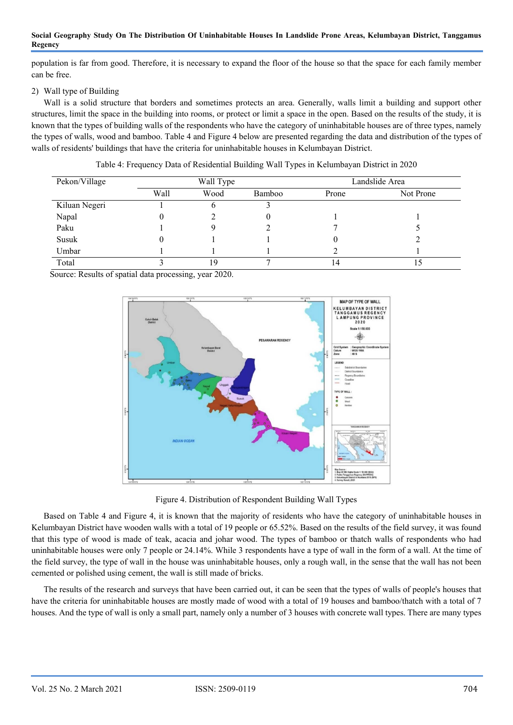population is far from good. Therefore, it is necessary to expand the floor of the house so that the space for each family member can be free.

# 2) Wall type of Building

Wall is a solid structure that borders and sometimes protects an area. Generally, walls limit a building and support other structures, limit the space in the building into rooms, or protect or limit a space in the open. Based on the results of the study, it is known that the types of building walls of the respondents who have the category of uninhabitable houses are of three types, namely the types of walls, wood and bamboo. Table 4 and Figure 4 below are presented regarding the data and distribution of the types of walls of residents' buildings that have the criteria for uninhabitable houses in Kelumbayan District.

| Pekon/Village |      | Wall Type |        |       | Landslide Area |
|---------------|------|-----------|--------|-------|----------------|
|               | Wall | Wood      | Bamboo | Prone | Not Prone      |
| Kiluan Negeri |      |           |        |       |                |
| Napal         |      |           |        |       |                |
| Paku          |      |           |        |       |                |
| Susuk         |      |           |        |       |                |
| Umbar         |      |           |        |       |                |
| Total         |      | 19        |        | 14    |                |

Table 4: Frequency Data of Residential Building Wall Types in Kelumbayan District in 2020

Source: Results of spatial data processing, year 2020.



Figure 4. Distribution of Respondent Building Wall Types

Based on Table 4 and Figure 4, it is known that the majority of residents who have the category of uninhabitable houses in Kelumbayan District have wooden walls with a total of 19 people or 65.52%. Based on the results of the field survey, it was found that this type of wood is made of teak, acacia and johar wood. The types of bamboo or thatch walls of respondents who had uninhabitable houses were only 7 people or 24.14%. While 3 respondents have a type of wall in the form of a wall. At the time of the field survey, the type of wall in the house was uninhabitable houses, only a rough wall, in the sense that the wall has not been cemented or polished using cement, the wall is still made of bricks.

The results of the research and surveys that have been carried out, it can be seen that the types of walls of people's houses that have the criteria for uninhabitable houses are mostly made of wood with a total of 19 houses and bamboo/thatch with a total of 7 houses. And the type of wall is only a small part, namely only a number of 3 houses with concrete wall types. There are many types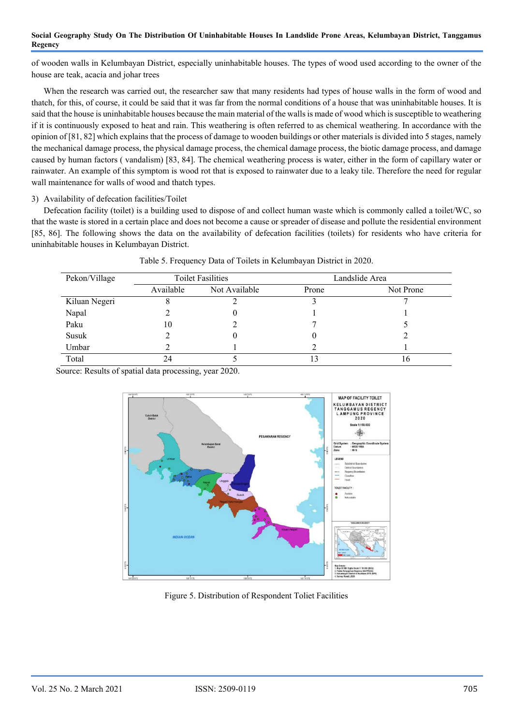of wooden walls in Kelumbayan District, especially uninhabitable houses. The types of wood used according to the owner of the house are teak, acacia and johar trees

When the research was carried out, the researcher saw that many residents had types of house walls in the form of wood and thatch, for this, of course, it could be said that it was far from the normal conditions of a house that was uninhabitable houses. It is said that the house is uninhabitable houses because the main material of the walls is made of wood which is susceptible to weathering if it is continuously exposed to heat and rain. This weathering is often referred to as chemical weathering. In accordance with the opinion of [81, 82] which explains that the process of damage to wooden buildings or other materials is divided into 5 stages, namely the mechanical damage process, the physical damage process, the chemical damage process, the biotic damage process, and damage caused by human factors ( vandalism) [83, 84]. The chemical weathering process is water, either in the form of capillary water or rainwater. An example of this symptom is wood rot that is exposed to rainwater due to a leaky tile. Therefore the need for regular wall maintenance for walls of wood and thatch types.

3) Availability of defecation facilities/Toilet

Defecation facility (toilet) is a building used to dispose of and collect human waste which is commonly called a toilet/WC, so that the waste is stored in a certain place and does not become a cause or spreader of disease and pollute the residential environment [85, 86]. The following shows the data on the availability of defecation facilities (toilets) for residents who have criteria for uninhabitable houses in Kelumbayan District.

| Pekon/Village | <b>Toilet Fasilities</b> |               | Landslide Area |           |
|---------------|--------------------------|---------------|----------------|-----------|
|               | Available                | Not Available | Prone          | Not Prone |
| Kiluan Negeri |                          |               |                |           |
| Napal         |                          |               |                |           |
| Paku          | 10                       |               |                |           |
| Susuk         |                          |               | U              |           |
| Umbar         |                          |               |                |           |
| Total         | 24                       |               |                | 10        |

| Table 5. Frequency Data of Toilets in Kelumbayan District in 2020. |  |  |
|--------------------------------------------------------------------|--|--|
|                                                                    |  |  |

Source: Results of spatial data processing, year 2020.



Figure 5. Distribution of Respondent Toliet Facilities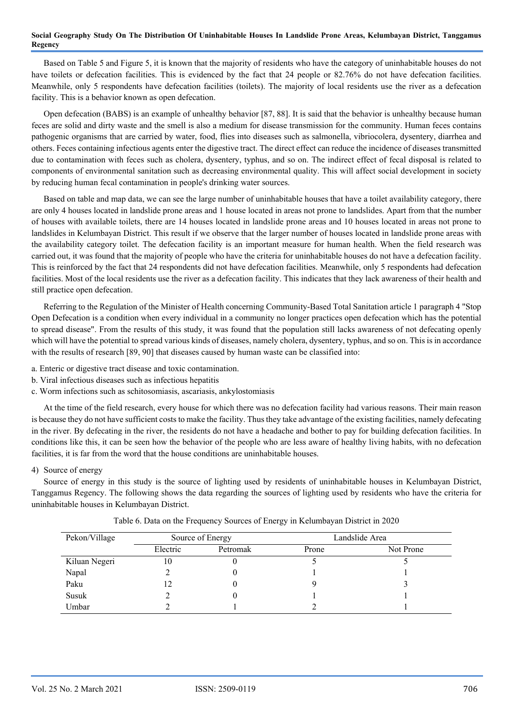Based on Table 5 and Figure 5, it is known that the majority of residents who have the category of uninhabitable houses do not have toilets or defecation facilities. This is evidenced by the fact that 24 people or 82.76% do not have defecation facilities. Meanwhile, only 5 respondents have defecation facilities (toilets). The majority of local residents use the river as a defecation facility. This is a behavior known as open defecation.

Open defecation (BABS) is an example of unhealthy behavior [87, 88]. It is said that the behavior is unhealthy because human feces are solid and dirty waste and the smell is also a medium for disease transmission for the community. Human feces contains pathogenic organisms that are carried by water, food, flies into diseases such as salmonella, vibriocolera, dysentery, diarrhea and others. Feces containing infectious agents enter the digestive tract. The direct effect can reduce the incidence of diseases transmitted due to contamination with feces such as cholera, dysentery, typhus, and so on. The indirect effect of fecal disposal is related to components of environmental sanitation such as decreasing environmental quality. This will affect social development in society by reducing human fecal contamination in people's drinking water sources.

Based on table and map data, we can see the large number of uninhabitable houses that have a toilet availability category, there are only 4 houses located in landslide prone areas and 1 house located in areas not prone to landslides. Apart from that the number of houses with available toilets, there are 14 houses located in landslide prone areas and 10 houses located in areas not prone to landslides in Kelumbayan District. This result if we observe that the larger number of houses located in landslide prone areas with the availability category toilet. The defecation facility is an important measure for human health. When the field research was carried out, it was found that the majority of people who have the criteria for uninhabitable houses do not have a defecation facility. This is reinforced by the fact that 24 respondents did not have defecation facilities. Meanwhile, only 5 respondents had defecation facilities. Most of the local residents use the river as a defecation facility. This indicates that they lack awareness of their health and still practice open defecation.

Referring to the Regulation of the Minister of Health concerning Community-Based Total Sanitation article 1 paragraph 4 "Stop Open Defecation is a condition when every individual in a community no longer practices open defecation which has the potential to spread disease". From the results of this study, it was found that the population still lacks awareness of not defecating openly which will have the potential to spread various kinds of diseases, namely cholera, dysentery, typhus, and so on. This is in accordance with the results of research [89, 90] that diseases caused by human waste can be classified into:

- a. Enteric or digestive tract disease and toxic contamination.
- b. Viral infectious diseases such as infectious hepatitis
- c. Worm infections such as schitosomiasis, ascariasis, ankylostomiasis

At the time of the field research, every house for which there was no defecation facility had various reasons. Their main reason is because they do not have sufficient costs to make the facility. Thus they take advantage of the existing facilities, namely defecating in the river. By defecating in the river, the residents do not have a headache and bother to pay for building defecation facilities. In conditions like this, it can be seen how the behavior of the people who are less aware of healthy living habits, with no defecation facilities, it is far from the word that the house conditions are uninhabitable houses.

## 4) Source of energy

Source of energy in this study is the source of lighting used by residents of uninhabitable houses in Kelumbayan District, Tanggamus Regency. The following shows the data regarding the sources of lighting used by residents who have the criteria for uninhabitable houses in Kelumbayan District.

| Pekon/Village | Source of Energy |          | Landslide Area |           |
|---------------|------------------|----------|----------------|-----------|
|               | Electric         | Petromak | Prone          | Not Prone |
| Kiluan Negeri | 10               |          |                |           |
| Napal         |                  |          |                |           |
| Paku          | 12               |          |                |           |
| Susuk         |                  |          |                |           |
| Umbar         |                  |          |                |           |

Table 6. Data on the Frequency Sources of Energy in Kelumbayan District in 2020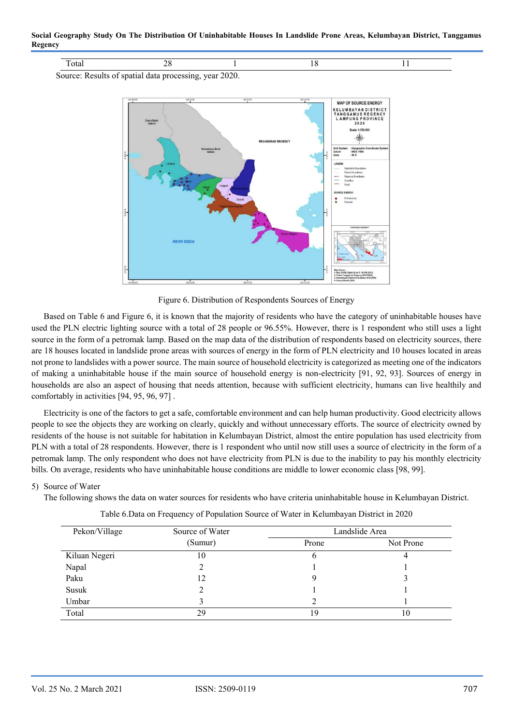**Social Geography Study On The Distribution Of Uninhabitable Houses In Landslide Prone Areas, Kelumbayan District, Tanggamus Regency** 

| н. |  |  |
|----|--|--|
|    |  |  |

Source: Results of spatial data processing, year 2020.



Figure 6. Distribution of Respondents Sources of Energy

Based on Table 6 and Figure 6, it is known that the majority of residents who have the category of uninhabitable houses have used the PLN electric lighting source with a total of 28 people or 96.55%. However, there is 1 respondent who still uses a light source in the form of a petromak lamp. Based on the map data of the distribution of respondents based on electricity sources, there are 18 houses located in landslide prone areas with sources of energy in the form of PLN electricity and 10 houses located in areas not prone to landslides with a power source. The main source of household electricity is categorized as meeting one of the indicators of making a uninhabitable house if the main source of household energy is non-electricity [91, 92, 93]. Sources of energy in households are also an aspect of housing that needs attention, because with sufficient electricity, humans can live healthily and comfortably in activities [94, 95, 96, 97] .

Electricity is one of the factors to get a safe, comfortable environment and can help human productivity. Good electricity allows people to see the objects they are working on clearly, quickly and without unnecessary efforts. The source of electricity owned by residents of the house is not suitable for habitation in Kelumbayan District, almost the entire population has used electricity from PLN with a total of 28 respondents. However, there is 1 respondent who until now still uses a source of electricity in the form of a petromak lamp. The only respondent who does not have electricity from PLN is due to the inability to pay his monthly electricity bills. On average, residents who have uninhabitable house conditions are middle to lower economic class [98, 99].

# 5) Source of Water

The following shows the data on water sources for residents who have criteria uninhabitable house in Kelumbayan District.

| Pekon/Village | Source of Water | Landslide Area |           |
|---------------|-----------------|----------------|-----------|
|               | (Sumur)         | Prone          | Not Prone |
| Kiluan Negeri | 10              | O              |           |
| Napal         |                 |                |           |
| Paku          | 12              |                |           |
| Susuk         |                 |                |           |
| Umbar         |                 |                |           |
| Total         | 29              | 19             | 10        |

|  |  |  | Table 6. Data on Frequency of Population Source of Water in Kelumbayan District in 2020 |
|--|--|--|-----------------------------------------------------------------------------------------|
|--|--|--|-----------------------------------------------------------------------------------------|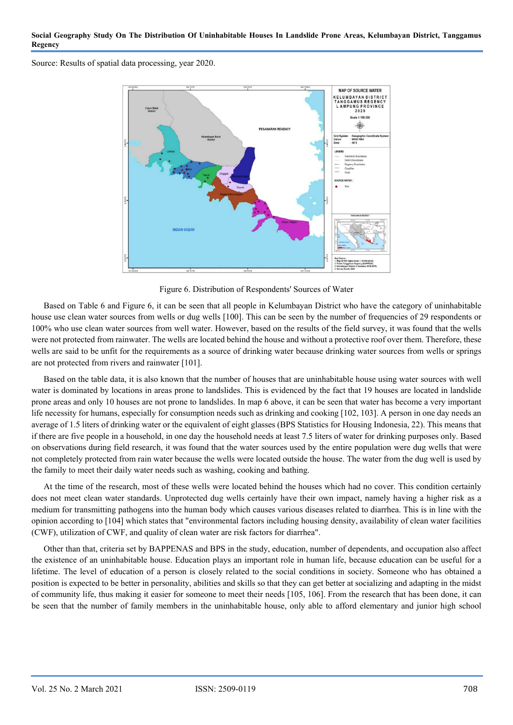Source: Results of spatial data processing, year 2020.



Figure 6. Distribution of Respondents' Sources of Water

Based on Table 6 and Figure 6, it can be seen that all people in Kelumbayan District who have the category of uninhabitable house use clean water sources from wells or dug wells [100]. This can be seen by the number of frequencies of 29 respondents or 100% who use clean water sources from well water. However, based on the results of the field survey, it was found that the wells were not protected from rainwater. The wells are located behind the house and without a protective roof over them. Therefore, these wells are said to be unfit for the requirements as a source of drinking water because drinking water sources from wells or springs are not protected from rivers and rainwater [101].

Based on the table data, it is also known that the number of houses that are uninhabitable house using water sources with well water is dominated by locations in areas prone to landslides. This is evidenced by the fact that 19 houses are located in landslide prone areas and only 10 houses are not prone to landslides. In map 6 above, it can be seen that water has become a very important life necessity for humans, especially for consumption needs such as drinking and cooking [102, 103]. A person in one day needs an average of 1.5 liters of drinking water or the equivalent of eight glasses (BPS Statistics for Housing Indonesia, 22). This means that if there are five people in a household, in one day the household needs at least 7.5 liters of water for drinking purposes only. Based on observations during field research, it was found that the water sources used by the entire population were dug wells that were not completely protected from rain water because the wells were located outside the house. The water from the dug well is used by the family to meet their daily water needs such as washing, cooking and bathing.

At the time of the research, most of these wells were located behind the houses which had no cover. This condition certainly does not meet clean water standards. Unprotected dug wells certainly have their own impact, namely having a higher risk as a medium for transmitting pathogens into the human body which causes various diseases related to diarrhea. This is in line with the opinion according to [104] which states that "environmental factors including housing density, availability of clean water facilities (CWF), utilization of CWF, and quality of clean water are risk factors for diarrhea".

Other than that, criteria set by BAPPENAS and BPS in the study, education, number of dependents, and occupation also affect the existence of an uninhabitable house. Education plays an important role in human life, because education can be useful for a lifetime. The level of education of a person is closely related to the social conditions in society. Someone who has obtained a position is expected to be better in personality, abilities and skills so that they can get better at socializing and adapting in the midst of community life, thus making it easier for someone to meet their needs [105, 106]. From the research that has been done, it can be seen that the number of family members in the uninhabitable house, only able to afford elementary and junior high school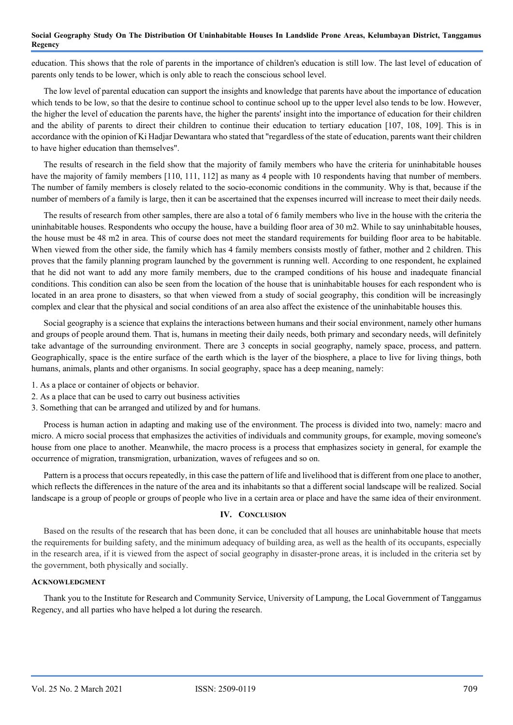education. This shows that the role of parents in the importance of children's education is still low. The last level of education of parents only tends to be lower, which is only able to reach the conscious school level.

The low level of parental education can support the insights and knowledge that parents have about the importance of education which tends to be low, so that the desire to continue school to continue school up to the upper level also tends to be low. However, the higher the level of education the parents have, the higher the parents' insight into the importance of education for their children and the ability of parents to direct their children to continue their education to tertiary education [107, 108, 109]. This is in accordance with the opinion of Ki Hadjar Dewantara who stated that "regardless of the state of education, parents want their children to have higher education than themselves".

The results of research in the field show that the majority of family members who have the criteria for uninhabitable houses have the majority of family members [110, 111, 112] as many as 4 people with 10 respondents having that number of members. The number of family members is closely related to the socio-economic conditions in the community. Why is that, because if the number of members of a family is large, then it can be ascertained that the expenses incurred will increase to meet their daily needs.

The results of research from other samples, there are also a total of 6 family members who live in the house with the criteria the uninhabitable houses. Respondents who occupy the house, have a building floor area of 30 m2. While to say uninhabitable houses, the house must be 48 m2 in area. This of course does not meet the standard requirements for building floor area to be habitable. When viewed from the other side, the family which has 4 family members consists mostly of father, mother and 2 children. This proves that the family planning program launched by the government is running well. According to one respondent, he explained that he did not want to add any more family members, due to the cramped conditions of his house and inadequate financial conditions. This condition can also be seen from the location of the house that is uninhabitable houses for each respondent who is located in an area prone to disasters, so that when viewed from a study of social geography, this condition will be increasingly complex and clear that the physical and social conditions of an area also affect the existence of the uninhabitable houses this.

Social geography is a science that explains the interactions between humans and their social environment, namely other humans and groups of people around them. That is, humans in meeting their daily needs, both primary and secondary needs, will definitely take advantage of the surrounding environment. There are 3 concepts in social geography, namely space, process, and pattern. Geographically, space is the entire surface of the earth which is the layer of the biosphere, a place to live for living things, both humans, animals, plants and other organisms. In social geography, space has a deep meaning, namely:

- 1. As a place or container of objects or behavior.
- 2. As a place that can be used to carry out business activities
- 3. Something that can be arranged and utilized by and for humans.

Process is human action in adapting and making use of the environment. The process is divided into two, namely: macro and micro. A micro social process that emphasizes the activities of individuals and community groups, for example, moving someone's house from one place to another. Meanwhile, the macro process is a process that emphasizes society in general, for example the occurrence of migration, transmigration, urbanization, waves of refugees and so on.

Pattern is a process that occurs repeatedly, in this case the pattern of life and livelihood that is different from one place to another, which reflects the differences in the nature of the area and its inhabitants so that a different social landscape will be realized. Social landscape is a group of people or groups of people who live in a certain area or place and have the same idea of their environment.

# **IV. CONCLUSION**

Based on the results of the research that has been done, it can be concluded that all houses are uninhabitable house that meets the requirements for building safety, and the minimum adequacy of building area, as well as the health of its occupants, especially in the research area, if it is viewed from the aspect of social geography in disaster-prone areas, it is included in the criteria set by the government, both physically and socially.

## **ACKNOWLEDGMENT**

Thank you to the Institute for Research and Community Service, University of Lampung, the Local Government of Tanggamus Regency, and all parties who have helped a lot during the research.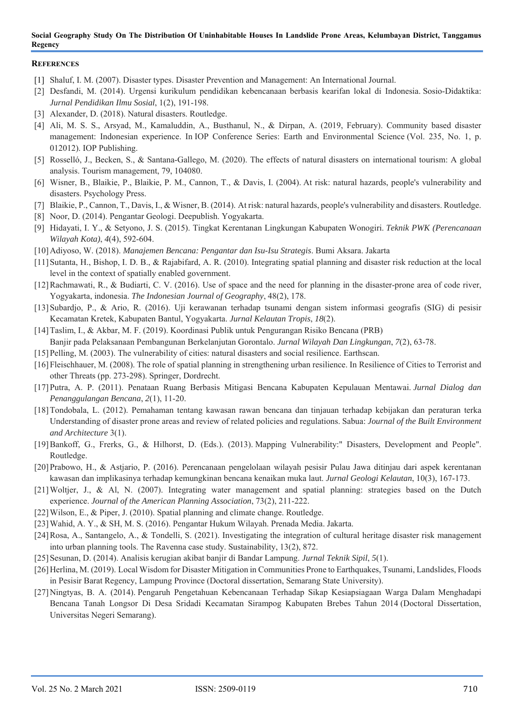## **REFERENCES**

- [1] Shaluf, I. M. (2007). Disaster types. Disaster Prevention and Management: An International Journal.
- [2] Desfandi, M. (2014). Urgensi kurikulum pendidikan kebencanaan berbasis kearifan lokal di Indonesia. Sosio-Didaktika: *Jurnal Pendidikan Ilmu Sosial*, 1(2), 191-198.
- [3] Alexander, D. (2018). Natural disasters. Routledge.
- [4] Ali, M. S. S., Arsyad, M., Kamaluddin, A., Busthanul, N., & Dirpan, A. (2019, February). Community based disaster management: Indonesian experience. In IOP Conference Series: Earth and Environmental Science (Vol. 235, No. 1, p. 012012). IOP Publishing.
- [5] Rosselló, J., Becken, S., & Santana-Gallego, M. (2020). The effects of natural disasters on international tourism: A global analysis. Tourism management, 79, 104080.
- [6] Wisner, B., Blaikie, P., Blaikie, P. M., Cannon, T., & Davis, I. (2004). At risk: natural hazards, people's vulnerability and disasters. Psychology Press.
- [7] Blaikie, P., Cannon, T., Davis, I., & Wisner, B. (2014). At risk: natural hazards, people's vulnerability and disasters. Routledge.
- [8] Noor, D. (2014). Pengantar Geologi. Deepublish. Yogyakarta.
- [9] Hidayati, I. Y., & Setyono, J. S. (2015). Tingkat Kerentanan Lingkungan Kabupaten Wonogiri. *Teknik PWK (Perencanaan Wilayah Kota)*, *4*(4), 592-604.
- [10]Adiyoso, W. (2018). *Manajemen Bencana: Pengantar dan Isu-Isu Strategis*. Bumi Aksara. Jakarta
- [11]Sutanta, H., Bishop, I. D. B., & Rajabifard, A. R. (2010). Integrating spatial planning and disaster risk reduction at the local level in the context of spatially enabled government.
- [12]Rachmawati, R., & Budiarti, C. V. (2016). Use of space and the need for planning in the disaster-prone area of code river, Yogyakarta, indonesia. *The Indonesian Journal of Geography*, 48(2), 178.
- [13]Subardjo, P., & Ario, R. (2016). Uji kerawanan terhadap tsunami dengan sistem informasi geografis (SIG) di pesisir Kecamatan Kretek, Kabupaten Bantul, Yogyakarta. *Jurnal Kelautan Tropis*, *18*(2).
- [14]Taslim, I., & Akbar, M. F. (2019). Koordinasi Publik untuk Pengurangan Risiko Bencana (PRB) Banjir pada Pelaksanaan Pembangunan Berkelanjutan Gorontalo. *Jurnal Wilayah Dan Lingkungan*, *7*(2), 63-78.
- [15]Pelling, M. (2003). The vulnerability of cities: natural disasters and social resilience. Earthscan.
- [16]Fleischhauer, M. (2008). The role of spatial planning in strengthening urban resilience. In Resilience of Cities to Terrorist and other Threats (pp. 273-298). Springer, Dordrecht.
- [17]Putra, A. P. (2011). Penataan Ruang Berbasis Mitigasi Bencana Kabupaten Kepulauan Mentawai. *Jurnal Dialog dan Penanggulangan Bencana*, *2*(1), 11-20.
- [18]Tondobala, L. (2012). Pemahaman tentang kawasan rawan bencana dan tinjauan terhadap kebijakan dan peraturan terka Understanding of disaster prone areas and review of related policies and regulations. Sabua: *Journal of the Built Environment and Architecture* 3(1).
- [19]Bankoff, G., Frerks, G., & Hilhorst, D. (Eds.). (2013). Mapping Vulnerability:" Disasters, Development and People". Routledge.
- [20]Prabowo, H., & Astjario, P. (2016). Perencanaan pengelolaan wilayah pesisir Pulau Jawa ditinjau dari aspek kerentanan kawasan dan implikasinya terhadap kemungkinan bencana kenaikan muka laut. *Jurnal Geologi Kelautan*, 10(3), 167-173.
- [21]Woltjer, J., & Al, N. (2007). Integrating water management and spatial planning: strategies based on the Dutch experience. *Journal of the American Planning Association*, 73(2), 211-222.
- [22] Wilson, E., & Piper, J. (2010). Spatial planning and climate change. Routledge.
- [23]Wahid, A. Y., & SH, M. S. (2016). Pengantar Hukum Wilayah. Prenada Media. Jakarta.
- [24]Rosa, A., Santangelo, A., & Tondelli, S. (2021). Investigating the integration of cultural heritage disaster risk management into urban planning tools. The Ravenna case study. Sustainability, 13(2), 872.
- [25]Sesunan, D. (2014). Analisis kerugian akibat banjir di Bandar Lampung. *Jurnal Teknik Sipil*, *5*(1).
- [26]Herlina, M. (2019). Local Wisdom for Disaster Mitigation in Communities Prone to Earthquakes, Tsunami, Landslides, Floods in Pesisir Barat Regency, Lampung Province (Doctoral dissertation, Semarang State University).
- [27]Ningtyas, B. A. (2014). Pengaruh Pengetahuan Kebencanaan Terhadap Sikap Kesiapsiagaan Warga Dalam Menghadapi Bencana Tanah Longsor Di Desa Sridadi Kecamatan Sirampog Kabupaten Brebes Tahun 2014 (Doctoral Dissertation, Universitas Negeri Semarang).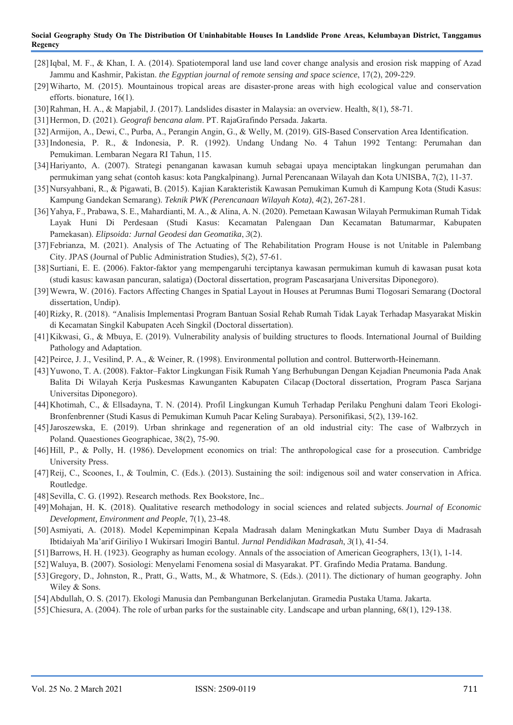- [28]Iqbal, M. F., & Khan, I. A. (2014). Spatiotemporal land use land cover change analysis and erosion risk mapping of Azad Jammu and Kashmir, Pakistan. *the Egyptian journal of remote sensing and space science*, 17(2), 209-229.
- [29]Wiharto, M. (2015). Mountainous tropical areas are disaster-prone areas with high ecological value and conservation efforts. bionature, 16(1).
- [30]Rahman, H. A., & Mapjabil, J. (2017). Landslides disaster in Malaysia: an overview. Health, 8(1), 58-71.
- [31]Hermon, D. (2021). *Geografi bencana alam*. PT. RajaGrafindo Persada. Jakarta.
- [32]Armijon, A., Dewi, C., Purba, A., Perangin Angin, G., & Welly, M. (2019). GIS-Based Conservation Area Identification.
- [33]Indonesia, P. R., & Indonesia, P. R. (1992). Undang Undang No. 4 Tahun 1992 Tentang: Perumahan dan Pemukiman. Lembaran Negara RI Tahun, 115.
- [34]Hariyanto, A. (2007). Strategi penanganan kawasan kumuh sebagai upaya menciptakan lingkungan perumahan dan permukiman yang sehat (contoh kasus: kota Pangkalpinang). Jurnal Perencanaan Wilayah dan Kota UNISBA, 7(2), 11-37.
- [35]Nursyahbani, R., & Pigawati, B. (2015). Kajian Karakteristik Kawasan Pemukiman Kumuh di Kampung Kota (Studi Kasus: Kampung Gandekan Semarang). *Teknik PWK (Perencanaan Wilayah Kota)*, *4*(2), 267-281.
- [36]Yahya, F., Prabawa, S. E., Mahardianti, M. A., & Alina, A. N. (2020). Pemetaan Kawasan Wilayah Permukiman Rumah Tidak Layak Huni Di Perdesaan (Studi Kasus: Kecamatan Palengaan Dan Kecamatan Batumarmar, Kabupaten Pamekasan). *Elipsoida: Jurnal Geodesi dan Geomatika*, *3*(2).
- [37]Febrianza, M. (2021). Analysis of The Actuating of The Rehabilitation Program House is not Unitable in Palembang City. JPAS (Journal of Public Administration Studies), 5(2), 57-61.
- [38]Surtiani, E. E. (2006). Faktor-faktor yang mempengaruhi terciptanya kawasan permukiman kumuh di kawasan pusat kota (studi kasus: kawasan pancuran, salatiga) (Doctoral dissertation, program Pascasarjana Universitas Diponegoro).
- [39]Wewra, W. (2016). Factors Affecting Changes in Spatial Layout in Houses at Perumnas Bumi Tlogosari Semarang (Doctoral dissertation, Undip).
- [40]Rizky, R. (2018). *"*Analisis Implementasi Program Bantuan Sosial Rehab Rumah Tidak Layak Terhadap Masyarakat Miskin di Kecamatan Singkil Kabupaten Aceh Singkil (Doctoral dissertation).
- [41]Kikwasi, G., & Mbuya, E. (2019). Vulnerability analysis of building structures to floods. International Journal of Building Pathology and Adaptation.
- [42]Peirce, J. J., Vesilind, P. A., & Weiner, R. (1998). Environmental pollution and control. Butterworth-Heinemann.
- [43]Yuwono, T. A. (2008). Faktor–Faktor Lingkungan Fisik Rumah Yang Berhubungan Dengan Kejadian Pneumonia Pada Anak Balita Di Wilayah Kerja Puskesmas Kawunganten Kabupaten Cilacap (Doctoral dissertation, Program Pasca Sarjana Universitas Diponegoro).
- [44]Khotimah, C., & Ellsadayna, T. N. (2014). Profil Lingkungan Kumuh Terhadap Perilaku Penghuni dalam Teori Ekologi-Bronfenbrenner (Studi Kasus di Pemukiman Kumuh Pacar Keling Surabaya). Personifikasi, 5(2), 139-162.
- [45]Jaroszewska, E. (2019). Urban shrinkage and regeneration of an old industrial city: The case of Wałbrzych in Poland. Quaestiones Geographicae, 38(2), 75-90.
- [46]Hill, P., & Polly, H. (1986). Development economics on trial: The anthropological case for a prosecution. Cambridge University Press.
- [47]Reij, C., Scoones, I., & Toulmin, C. (Eds.). (2013). Sustaining the soil: indigenous soil and water conservation in Africa. Routledge.
- [48] Sevilla, C. G. (1992). Research methods. Rex Bookstore, Inc..
- [49]Mohajan, H. K. (2018). Qualitative research methodology in social sciences and related subjects. *Journal of Economic Development, Environment and People*, 7(1), 23-48.
- [50]Asmiyati, A. (2018). Model Kepemimpinan Kepala Madrasah dalam Meningkatkan Mutu Sumber Daya di Madrasah Ibtidaiyah Ma'arif Giriliyo I Wukirsari Imogiri Bantul. *Jurnal Pendidikan Madrasah*, *3*(1), 41-54.
- [51]Barrows, H. H. (1923). Geography as human ecology. Annals of the association of American Geographers, 13(1), 1-14.
- [52]Waluya, B. (2007). Sosiologi: Menyelami Fenomena sosial di Masyarakat. PT. Grafindo Media Pratama. Bandung.
- [53]Gregory, D., Johnston, R., Pratt, G., Watts, M., & Whatmore, S. (Eds.). (2011). The dictionary of human geography. John Wiley & Sons.
- [54]Abdullah, O. S. (2017). Ekologi Manusia dan Pembangunan Berkelanjutan. Gramedia Pustaka Utama. Jakarta.
- [55]Chiesura, A. (2004). The role of urban parks for the sustainable city. Landscape and urban planning, 68(1), 129-138.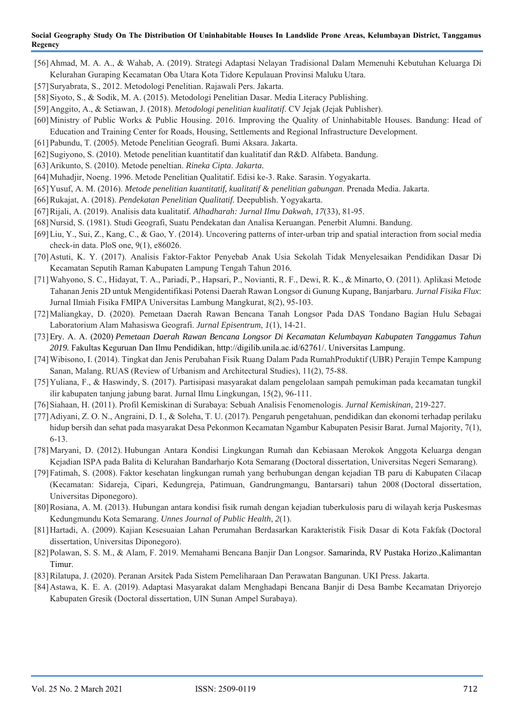- [56]Ahmad, M. A. A., & Wahab, A. (2019). Strategi Adaptasi Nelayan Tradisional Dalam Memenuhi Kebutuhan Keluarga Di Kelurahan Guraping Kecamatan Oba Utara Kota Tidore Kepulauan Provinsi Maluku Utara.
- [57]Suryabrata, S., 2012. Metodologi Penelitian. Rajawali Pers. Jakarta.
- [58]Siyoto, S., & Sodik, M. A. (2015). Metodologi Penelitian Dasar. Media Literacy Publishing.
- [59]Anggito, A., & Setiawan, J. (2018). *Metodologi penelitian kualitatif*. CV Jejak (Jejak Publisher).
- [60]Ministry of Public Works & Public Housing. 2016. Improving the Quality of Uninhabitable Houses. Bandung: Head of Education and Training Center for Roads, Housing, Settlements and Regional Infrastructure Development.
- [61]Pabundu, T. (2005). Metode Penelitian Geografi. Bumi Aksara. Jakarta.
- [62]Sugiyono, S. (2010). Metode penelitian kuantitatif dan kualitatif dan R&D. Alfabeta. Bandung.
- [63]Arikunto, S. (2010). Metode peneltian. *Rineka Cipta*. *Jakarta.*
- [64]Muhadjir, Noeng. 1996. Metode Penelitian Qualitatif. Edisi ke-3. Rake. Sarasin. Yogyakarta.
- [65]Yusuf, A. M. (2016). *Metode penelitian kuantitatif, kualitatif & penelitian gabungan*. Prenada Media. Jakarta.
- [66]Rukajat, A. (2018). *Pendekatan Penelitian Qualitatif*. Deepublish. Yogyakarta.
- [67]Rijali, A. (2019). Analisis data kualitatif. *Alhadharah: Jurnal Ilmu Dakwah*, *17*(33), 81-95.
- [68]Nursid, S. (1981). Studi Geografi, Suatu Pendekatan dan Analisa Keruangan. Penerbit Alumni. Bandung.
- [69]Liu, Y., Sui, Z., Kang, C., & Gao, Y. (2014). Uncovering patterns of inter-urban trip and spatial interaction from social media check-in data. PloS one, 9(1), e86026.
- [70]Astuti, K. Y. (2017). Analisis Faktor-Faktor Penyebab Anak Usia Sekolah Tidak Menyelesaikan Pendidikan Dasar Di Kecamatan Seputih Raman Kabupaten Lampung Tengah Tahun 2016.
- [71]Wahyono, S. C., Hidayat, T. A., Pariadi, P., Hapsari, P., Novianti, R. F., Dewi, R. K., & Minarto, O. (2011). Aplikasi Metode Tahanan Jenis 2D untuk Mengidentifikasi Potensi Daerah Rawan Longsor di Gunung Kupang, Banjarbaru. *Jurnal Fisika Flux*: Jurnal Ilmiah Fisika FMIPA Universitas Lambung Mangkurat, 8(2), 95-103.
- [72]Maliangkay, D. (2020). Pemetaan Daerah Rawan Bencana Tanah Longsor Pada DAS Tondano Bagian Hulu Sebagai Laboratorium Alam Mahasiswa Geografi. *Jurnal Episentrum*, *1*(1), 14-21.
- [73]Ery. A. A. (2020) *Pemetaan Daerah Rawan Bencana Longsor Di Kecamatan Kelumbayan Kabupaten Tanggamus Tahun 2019.* Fakultas Keguruan Dan Ilmu Pendidikan, http://digilib.unila.ac.id/62761/. Universitas Lampung.
- [74]Wibisono, I. (2014). Tingkat dan Jenis Perubahan Fisik Ruang Dalam Pada RumahProduktif (UBR) Perajin Tempe Kampung Sanan, Malang. RUAS (Review of Urbanism and Architectural Studies), 11(2), 75-88.
- [75]Yuliana, F., & Haswindy, S. (2017). Partisipasi masyarakat dalam pengelolaan sampah pemukiman pada kecamatan tungkil ilir kabupaten tanjung jabung barat. Jurnal Ilmu Lingkungan, 15(2), 96-111.
- [76]Siahaan, H. (2011). Profil Kemiskinan di Surabaya: Sebuah Analisis Fenomenologis. *Jurnal Kemiskinan,* 219-227.
- [77]Adiyani, Z. O. N., Angraini, D. I., & Soleha, T. U. (2017). Pengaruh pengetahuan, pendidikan dan ekonomi terhadap perilaku hidup bersih dan sehat pada masyarakat Desa Pekonmon Kecamatan Ngambur Kabupaten Pesisir Barat. Jurnal Majority, 7(1), 6-13.
- [78]Maryani, D. (2012). Hubungan Antara Kondisi Lingkungan Rumah dan Kebiasaan Merokok Anggota Keluarga dengan Kejadian ISPA pada Balita di Kelurahan Bandarharjo Kota Semarang (Doctoral dissertation, Universitas Negeri Semarang).
- [79]Fatimah, S. (2008). Faktor kesehatan lingkungan rumah yang berhubungan dengan kejadian TB paru di Kabupaten Cilacap (Kecamatan: Sidareja, Cipari, Kedungreja, Patimuan, Gandrungmangu, Bantarsari) tahun 2008 (Doctoral dissertation, Universitas Diponegoro).
- [80]Rosiana, A. M. (2013). Hubungan antara kondisi fisik rumah dengan kejadian tuberkulosis paru di wilayah kerja Puskesmas Kedungmundu Kota Semarang. *Unnes Journal of Public Health*, *2*(1).
- [81]Hartadi, A. (2009). Kajian Kesesuaian Lahan Perumahan Berdasarkan Karakteristik Fisik Dasar di Kota Fakfak (Doctoral dissertation, Universitas Diponegoro).
- [82]Polawan, S. S. M., & Alam, F. 2019. Memahami Bencana Banjir Dan Longsor. Samarinda, RV Pustaka Horizo.,Kalimantan Timur.
- [83]Rilatupa, J. (2020). Peranan Arsitek Pada Sistem Pemeliharaan Dan Perawatan Bangunan. UKI Press. Jakarta.
- [84]Astawa, K. E. A. (2019). Adaptasi Masyarakat dalam Menghadapi Bencana Banjir di Desa Bambe Kecamatan Driyorejo Kabupaten Gresik (Doctoral dissertation, UIN Sunan Ampel Surabaya).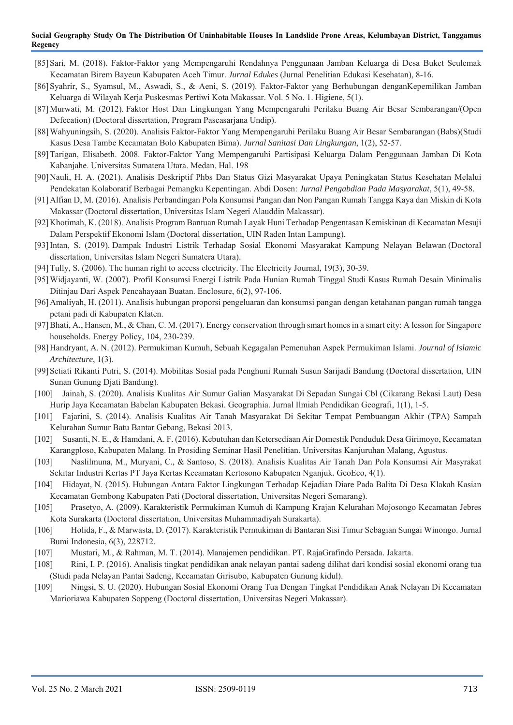- [85]Sari, M. (2018). Faktor-Faktor yang Mempengaruhi Rendahnya Penggunaan Jamban Keluarga di Desa Buket Seulemak Kecamatan Birem Bayeun Kabupaten Aceh Timur. *Jurnal Edukes* (Jurnal Penelitian Edukasi Kesehatan), 8-16.
- [86]Syahrir, S., Syamsul, M., Aswadi, S., & Aeni, S. (2019). Faktor-Faktor yang Berhubungan denganKepemilikan Jamban Keluarga di Wilayah Kerja Puskesmas Pertiwi Kota Makassar. Vol. 5 No. 1. Higiene, 5(1).
- [87]Murwati, M. (2012). Faktor Host Dan Lingkungan Yang Mempengaruhi Perilaku Buang Air Besar Sembarangan/(Open Defecation) (Doctoral dissertation, Program Pascasarjana Undip).
- [88]Wahyuningsih, S. (2020). Analisis Faktor-Faktor Yang Mempengaruhi Perilaku Buang Air Besar Sembarangan (Babs)(Studi Kasus Desa Tambe Kecamatan Bolo Kabupaten Bima). *Jurnal Sanitasi Dan Lingkungan*, 1(2), 52-57.
- [89]Tarigan, Elisabeth. 2008. Faktor-Faktor Yang Mempengaruhi Partisipasi Keluarga Dalam Penggunaan Jamban Di Kota Kabanjahe. Universitas Sumatera Utara. Medan. Hal. 198
- [90]Nauli, H. A. (2021). Analisis Deskriptif Phbs Dan Status Gizi Masyarakat Upaya Peningkatan Status Kesehatan Melalui Pendekatan Kolaboratif Berbagai Pemangku Kepentingan. Abdi Dosen: *Jurnal Pengabdian Pada Masyarakat*, 5(1), 49-58.
- [91]Alfian D, M. (2016). Analisis Perbandingan Pola Konsumsi Pangan dan Non Pangan Rumah Tangga Kaya dan Miskin di Kota Makassar (Doctoral dissertation, Universitas Islam Negeri Alauddin Makassar).
- [92]Khotimah, K. (2018). Analisis Program Bantuan Rumah Layak Huni Terhadap Pengentasan Kemiskinan di Kecamatan Mesuji Dalam Perspektif Ekonomi Islam (Doctoral dissertation, UIN Raden Intan Lampung).
- [93]Intan, S. (2019). Dampak Industri Listrik Terhadap Sosial Ekonomi Masyarakat Kampung Nelayan Belawan (Doctoral dissertation, Universitas Islam Negeri Sumatera Utara).
- [94]Tully, S. (2006). The human right to access electricity. The Electricity Journal, 19(3), 30-39.
- [95]Widjayanti, W. (2007). Profil Konsumsi Energi Listrik Pada Hunian Rumah Tinggal Studi Kasus Rumah Desain Minimalis Ditinjau Dari Aspek Pencahayaan Buatan. Enclosure, 6(2), 97-106.
- [96]Amaliyah, H. (2011). Analisis hubungan proporsi pengeluaran dan konsumsi pangan dengan ketahanan pangan rumah tangga petani padi di Kabupaten Klaten.
- [97]Bhati, A., Hansen, M., & Chan, C. M. (2017). Energy conservation through smart homes in a smart city: A lesson for Singapore households. Energy Policy, 104, 230-239.
- [98]Handryant, A. N. (2012). Permukiman Kumuh, Sebuah Kegagalan Pemenuhan Aspek Permukiman Islami. *Journal of Islamic Architecture*, 1(3).
- [99]Setiati Rikanti Putri, S. (2014). Mobilitas Sosial pada Penghuni Rumah Susun Sarijadi Bandung (Doctoral dissertation, UIN Sunan Gunung Djati Bandung).
- [100] Jainah, S. (2020). Analisis Kualitas Air Sumur Galian Masyarakat Di Sepadan Sungai Cbl (Cikarang Bekasi Laut) Desa Hurip Jaya Kecamatan Babelan Kabupaten Bekasi. Geographia. Jurnal Ilmiah Pendidikan Geografi, 1(1), 1-5.
- [101] Fajarini, S. (2014). Analisis Kualitas Air Tanah Masyarakat Di Sekitar Tempat Pembuangan Akhir (TPA) Sampah Kelurahan Sumur Batu Bantar Gebang, Bekasi 2013.
- [102] Susanti, N. E., & Hamdani, A. F. (2016). Kebutuhan dan Ketersediaan Air Domestik Penduduk Desa Girimoyo, Kecamatan Karangploso, Kabupaten Malang. In Prosiding Seminar Hasil Penelitian. Universitas Kanjuruhan Malang, Agustus.
- [103] Naslilmuna, M., Muryani, C., & Santoso, S. (2018). Analisis Kualitas Air Tanah Dan Pola Konsumsi Air Masyrakat Sekitar Industri Kertas PT Jaya Kertas Kecamatan Kertosono Kabupaten Nganjuk. GeoEco, 4(1).
- [104] Hidayat, N. (2015). Hubungan Antara Faktor Lingkungan Terhadap Kejadian Diare Pada Balita Di Desa Klakah Kasian Kecamatan Gembong Kabupaten Pati (Doctoral dissertation, Universitas Negeri Semarang).
- [105] Prasetyo, A. (2009). Karakteristik Permukiman Kumuh di Kampung Krajan Kelurahan Mojosongo Kecamatan Jebres Kota Surakarta (Doctoral dissertation, Universitas Muhammadiyah Surakarta).
- [106] Holida, F., & Marwasta, D. (2017). Karakteristik Permukiman di Bantaran Sisi Timur Sebagian Sungai Winongo. Jurnal Bumi Indonesia, 6(3), 228712.
- [107] Mustari, M., & Rahman, M. T. (2014). Manajemen pendidikan. PT. RajaGrafindo Persada. Jakarta.
- [108] Rini, I. P. (2016). Analisis tingkat pendidikan anak nelayan pantai sadeng dilihat dari kondisi sosial ekonomi orang tua (Studi pada Nelayan Pantai Sadeng, Kecamatan Girisubo, Kabupaten Gunung kidul).
- [109] Ningsi, S. U. (2020). Hubungan Sosial Ekonomi Orang Tua Dengan Tingkat Pendidikan Anak Nelayan Di Kecamatan Marioriawa Kabupaten Soppeng (Doctoral dissertation, Universitas Negeri Makassar).